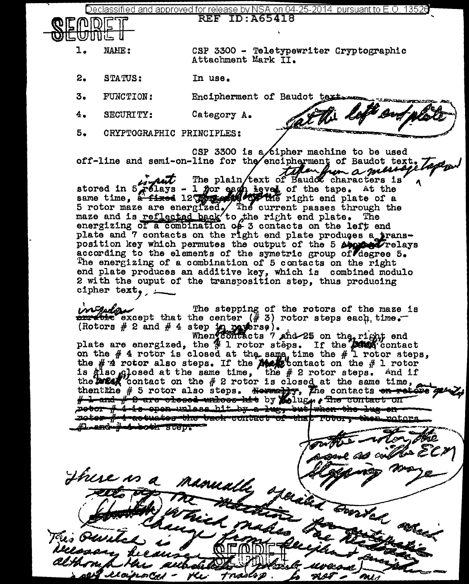<u>eclassified and approved for release by NSA on 04-25-2014 pursuant to E.O. 13526</u> **REF ID: A65418** 



NAME:

CSP 3300 - Teletypewriter Cryptographic Attachment Mark II.

ti left en

- 2. STATUS: In use.
- 3. FUNCTION: Encipherment of Baudot text
- 4. SECURITY: Category A.
- 5. CRYPTOGRAPHIC PRINCIPLES:

CSP 3300 is a cipher machine to be used<br>off-line and semi-on-line for the encipherment of Baudot text. CSP 3300 is a cipher machine to be used<br>off-line and semi-on-line for the encipherment of Baudot text. Taper

 $i$   $\overline{\mu}$  The plain text of Baudot characters is  $\gamma$ stored in  $5.761$ ays - 1 for each level of the tape. At the same time, a fixed 12 particularly the right end plate of a 5 rotor maze are energized. The current passes through the maze and is reflected back to the right end plate. The energizing of a combination of 3 contacts on the left end plate and 7 contacts on the right end plate produces a trans-<br>position key which permutes the output of the 5 Approximations position key which permutes the output of the 5 Approxy Trelays according to the elements of the symetric group of degree 5. The energizing of a combination of 5 contacts on the right end plate produces an additive key, which is combined modulo 2 with the ouput of the transposition step, thus producing cipher text,  $\overline{\phantom{a}}$ 

 $\overbrace{c}$  The stepping of the rotors of the maze is  $\overbrace{c}$  accept that the center (# 3) rotor steps each time. (Rotors  $#$  2 and  $#$  4 step in reverse).<br>When contacts ? and 25 on the right end

plate are energized, the  $\frac{M}{T}$  1 rotor steps. If the  $\frac{M}{T}$  contact on the  $#$  4 rotor is closed at the same, time the  $#$  1 rotor steps, the  $#$   $#$  rotor also steps. If the  $#$  contact on the  $#$  l rotor is glso closed at the same time, the  $#$  2 rotor steps. And if the **DIEAR** contact on the  $#$  2 rotor is closed at the same time, thent the  $# 5$  rotor also steps. Normally, The contects <del>on retains get  $Z_{\theta}$ </del>  $#$  2 and  $#$  8 are olosed whices his by Lolugn . The contact on roter # tactuates the tack contact of that Totor, then raters Lead-Ad-both step-

**am**b acul Al Jhue is a namally operated borrhad allen This Owitz as recoived HL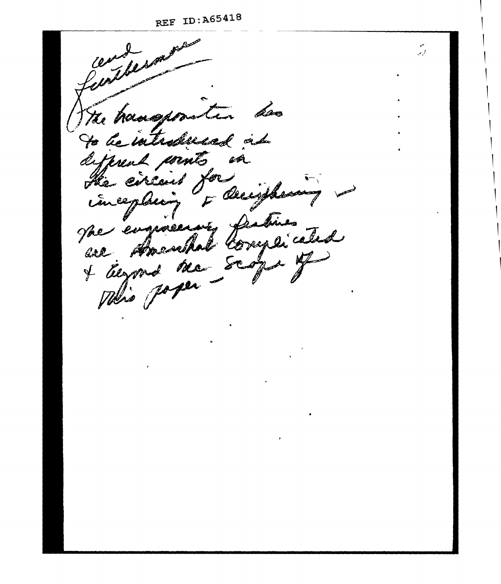المربي

with the world grade The hangson dos tur. to be introduced at deferent wints in He circuit for F Deciption incepling sur engineering fratises + Eugens ma scope of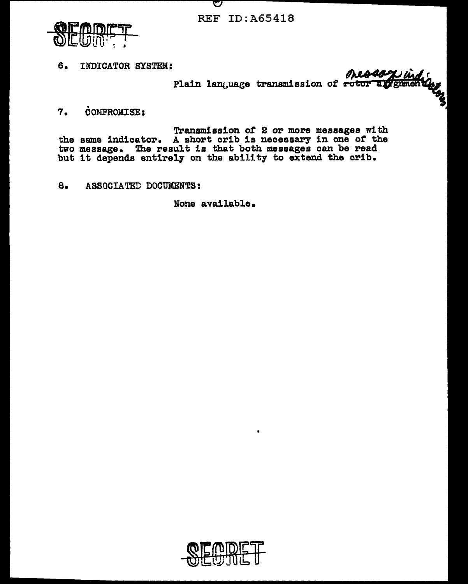REF ID:A65418

V



6. INDICATOR SYSTEM:

onessage index Plain language transmission of rotor

. 7. COMPROMISE:

Transmission of 2 or more messages with the same indicator. A short crib is necessary in one of the two message. The result is that both messages can be read two message. The result is that both messages can be read<br>but it depends entirely on the ability to extend the crib.

8. ASSOCIATED DOCUMENTS:

None available.

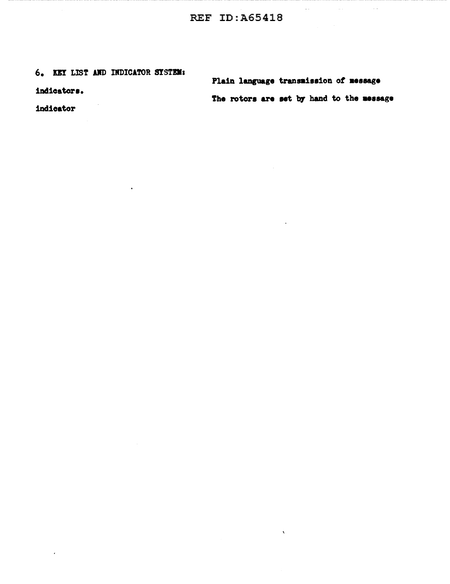## 6. KEY LIST AND INDICATOR SYSTEM:

indicators.

indicator

 $\epsilon$ 

Plain language transmission of message The rotors are set by hand to the message

 $\ddot{\phantom{0}}$ 

 $\bar{\mathcal{L}}$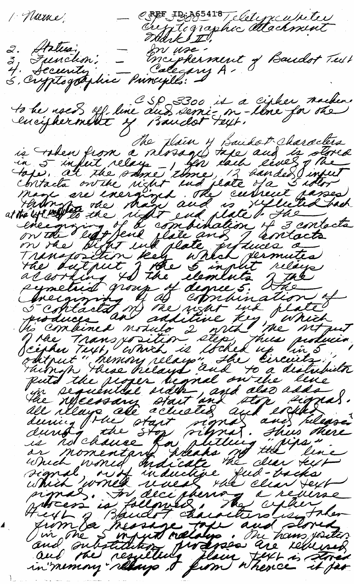CREE ID: 265418 (letyculiter 1 Norme 3, Function, - Encipherment of Baudot Tull<br>4. Security - Encipherment of Baudot Tull<br>5, Cryptogotyhic Principilo: to be used off line aud semi-m-line for the and the main the state of the state of the state of the control of the state of the state of the state of the state of the state of the state of the state of the state of the state of the state of the state of the state of which writed when the cell vertical property is followed, The cycle when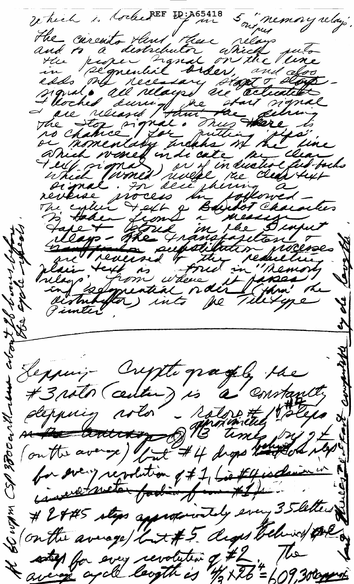Which is tocked EF ID: A65418 Which is to be the myselve of minory who the consistent and the more of the constant of the consistent of the consistent of the consistent of the consistent of the consistent of the consistent of the consistent of the cons memory relay'. Seppuis Cryste pagel le for every revolution of #1, bie # 4 is deniming (on the average / Lit#5 deges believe pre ates for every revolution of #2. The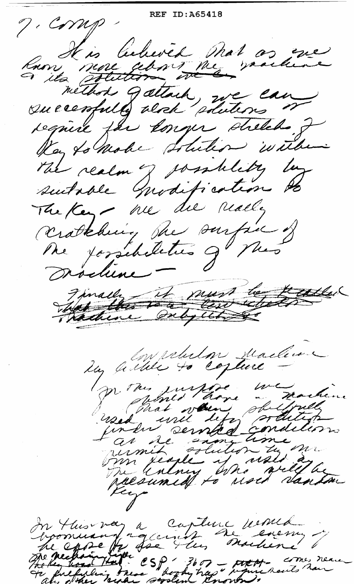REF ID:A65418 7. Comp Russe sur lectures mot as que method gattach rue can require far songer shelch. J Kay to make solution within The realm of josality by suboble modification to The Key - we die really cratching the surfice of Me forsebilities gl Mes Dischine -Finally is must be teacher los albert de la function p. the justice we men purfixe marken as de signation Sm legle y use ay raesumed to used danta In this var a capture venue The health csp 3607 - that comes neare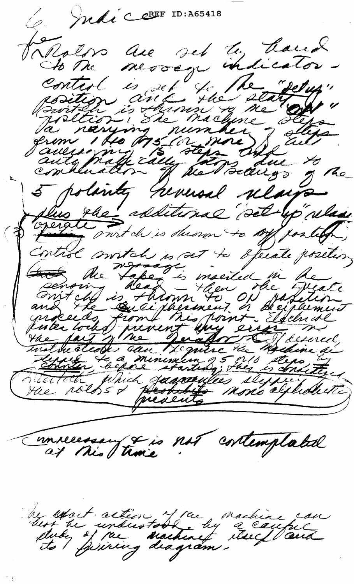Compraire CEREF ID: A65418 سعہ Valgdos au set lu haud The the moving hand the painting of the control is the control of the control of the control of the control of the control of the control of the control of the control of the control of the control of the control of the co de tre messége indicator. Innecessary si not cortemplated